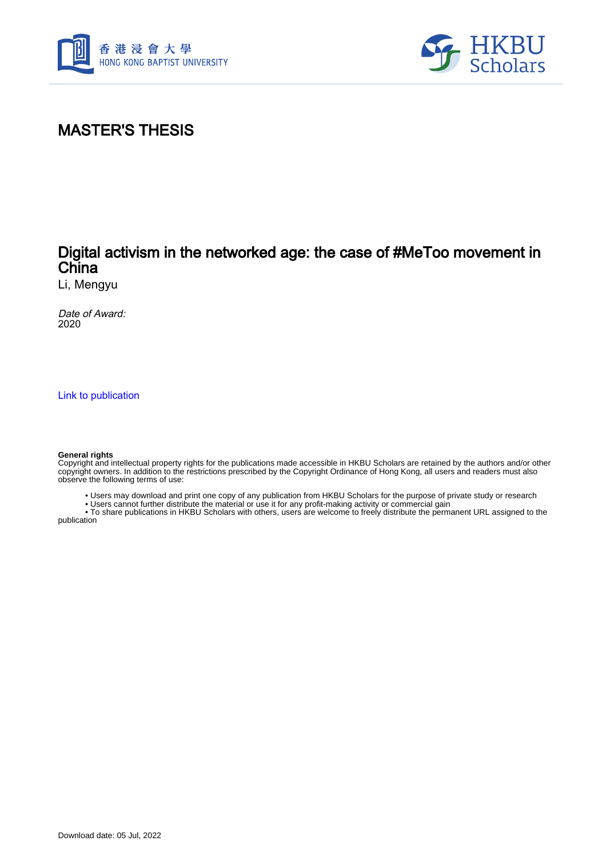



# MASTER'S THESIS

## Digital activism in the networked age: the case of #MeToo movement in China

Li, Mengyu

Date of Award: 2020

[Link to publication](https://scholars.hkbu.edu.hk/en/studentTheses/aef548d8-4957-46c8-8b8a-2419f324348c)

#### **General rights**

Copyright and intellectual property rights for the publications made accessible in HKBU Scholars are retained by the authors and/or other copyright owners. In addition to the restrictions prescribed by the Copyright Ordinance of Hong Kong, all users and readers must also observe the following terms of use:

- Users may download and print one copy of any publication from HKBU Scholars for the purpose of private study or research
- Users cannot further distribute the material or use it for any profit-making activity or commercial gain

 • To share publications in HKBU Scholars with others, users are welcome to freely distribute the permanent URL assigned to the publication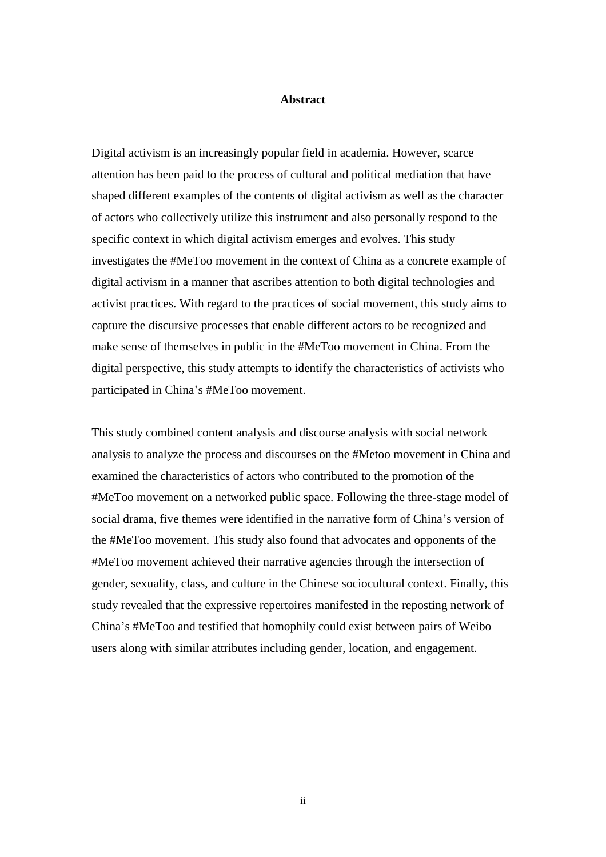### **Abstract**

<span id="page-1-0"></span>Digital activism is an increasingly popular field in academia. However, scarce attention has been paid to the process of cultural and political mediation that have shaped different examples of the contents of digital activism as well as the character of actors who collectively utilize this instrument and also personally respond to the specific context in which digital activism emerges and evolves. This study investigates the #MeToo movement in the context of China as a concrete example of digital activism in a manner that ascribes attention to both digital technologies and activist practices. With regard to the practices of social movement, this study aims to capture the discursive processes that enable different actors to be recognized and make sense of themselves in public in the #MeToo movement in China. From the digital perspective, this study attempts to identify the characteristics of activists who participated in China's #MeToo movement.

This study combined content analysis and discourse analysis with social network analysis to analyze the process and discourses on the #Metoo movement in China and examined the characteristics of actors who contributed to the promotion of the #MeToo movement on a networked public space. Following the three-stage model of social drama, five themes were identified in the narrative form of China's version of the #MeToo movement. This study also found that advocates and opponents of the #MeToo movement achieved their narrative agencies through the intersection of gender, sexuality, class, and culture in the Chinese sociocultural context. Finally, this study revealed that the expressive repertoires manifested in the reposting network of China's #MeToo and testified that homophily could exist between pairs of Weibo users along with similar attributes including gender, location, and engagement.

ii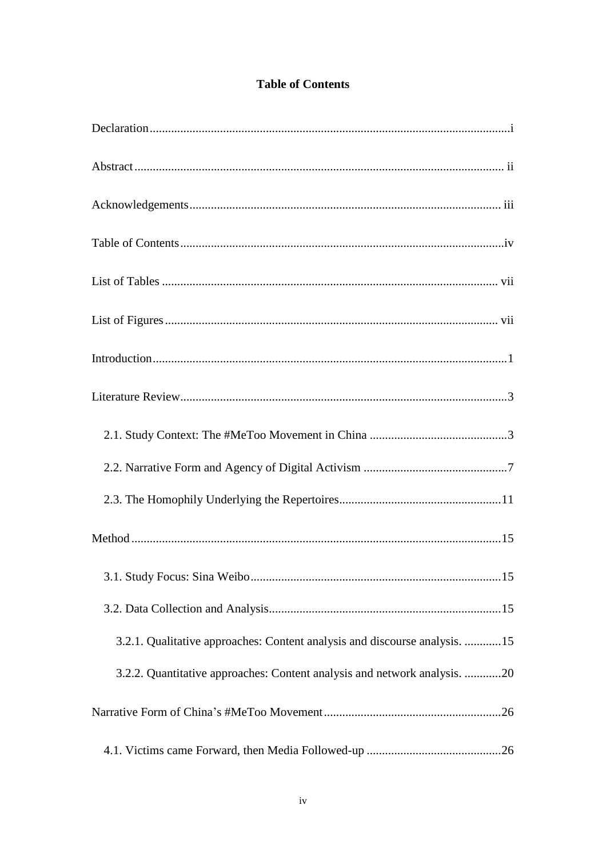### **Table of Contents**

<span id="page-2-0"></span>

| 3.2.1. Qualitative approaches: Content analysis and discourse analysis. 15 |
|----------------------------------------------------------------------------|
| 3.2.2. Quantitative approaches: Content analysis and network analysis. 20  |
|                                                                            |
|                                                                            |